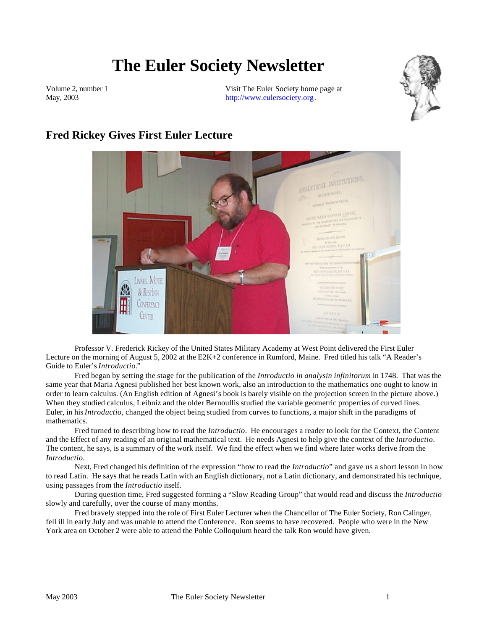# **The Euler Society Newsletter**

Volume 2, number 1 May, 2003

Visit The Euler Society home page at http://www.eulersociety.org.



# **Fred Rickey Gives First Euler Lecture**



Professor V. Frederick Rickey of the United States Military Academy at West Point delivered the First Euler Lecture on the morning of August 5, 2002 at the E2K+2 conference in Rumford, Maine. Fred titled his talk "A Reader's Guide to Euler's *Introductio.*"

Fred began by setting the stage for the publication of the *Introductio in analysin infinitorum* in 1748. That was the same year that Maria Agnesi published her best known work, also an introduction to the mathematics one ought to know in order to learn calculus. (An English edition of Agnesi's book is barely visible on the projection screen in the picture above.) When they studied calculus, Leibniz and the older Bernoullis studied the variable geometric properties of curved lines. Euler, in his *Introductio*, changed the object being studied from curves to functions, a major shift in the paradigms of mathematics.

Fred turned to describing how to read the *Introductio*. He encourages a reader to look for the Context, the Content and the Effect of any reading of an original mathematical text. He needs Agnesi to help give the context of the *Introductio*. The content, he says, is a summary of the work itself. We find the effect when we find where later works derive from the *Introductio*.

Next, Fred changed his definition of the expression "how to read the *Introductio*" and gave us a short lesson in how to read Latin. He says that he reads Latin with an English dictionary, not a Latin dictionary, and demonstrated his technique, using passages from the *Introductio* itself.

During question time, Fred suggested forming a "Slow Reading Group" that would read and discuss the *Introductio* slowly and carefully, over the course of many months.

Fred bravely stepped into the role of First Euler Lecturer when the Chancellor of The Euler Society, Ron Calinger, fell ill in early July and was unable to attend the Conference. Ron seems to have recovered. People who were in the New York area on October 2 were able to attend the Pohle Colloquium heard the talk Ron would have given.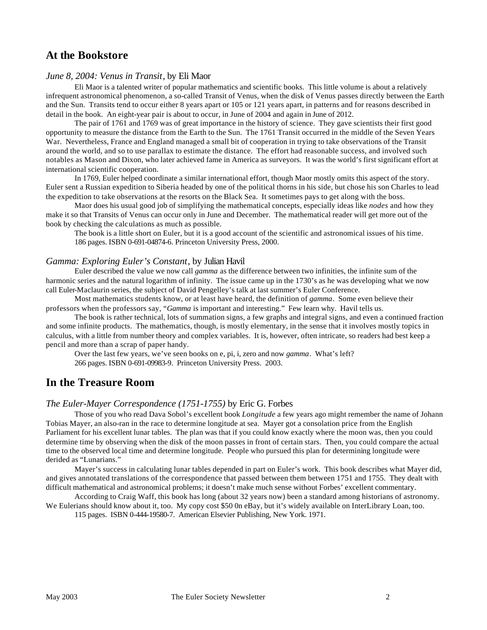# **At the Bookstore**

#### *June 8, 2004: Venus in Transit*, by Eli Maor

Eli Maor is a talented writer of popular mathematics and scientific books. This little volume is about a relatively infrequent astronomical phenomenon, a so-called Transit of Venus, when the disk of Venus passes directly between the Earth and the Sun. Transits tend to occur either 8 years apart or 105 or 121 years apart, in patterns and for reasons described in detail in the book. An eight-year pair is about to occur, in June of 2004 and again in June of 2012.

The pair of 1761 and 1769 was of great importance in the history of science. They gave scientists their first good opportunity to measure the distance from the Earth to the Sun. The 1761 Transit occurred in the middle of the Seven Years War. Nevertheless, France and England managed a small bit of cooperation in trying to take observations of the Transit around the world, and so to use parallax to estimate the distance. The effort had reasonable success, and involved such notables as Mason and Dixon, who later achieved fame in America as surveyors. It was the world's first significant effort at international scientific cooperation.

In 1769, Euler helped coordinate a similar international effort, though Maor mostly omits this aspect of the story. Euler sent a Russian expedition to Siberia headed by one of the political thorns in his side, but chose his son Charles to lead the expedition to take observations at the resorts on the Black Sea. It sometimes pays to get along with the boss.

Maor does his usual good job of simplifying the mathematical concepts, especially ideas like *nodes* and how they make it so that Transits of Venus can occur only in June and December. The mathematical reader will get more out of the book by checking the calculations as much as possible.

The book is a little short on Euler, but it is a good account of the scientific and astronomical issues of his time. 186 pages. ISBN 0-691-04874-6. Princeton University Press, 2000.

#### *Gamma: Exploring Euler's Constant*, by Julian Havil

Euler described the value we now call *gamma* as the difference between two infinities, the infinite sum of the harmonic series and the natural logarithm of infinity. The issue came up in the 1730's as he was developing what we now call Euler-Maclaurin series, the subject of David Pengelley's talk at last summer's Euler Conference.

Most mathematics students know, or at least have heard, the definition of *gamma*. Some even believe their professors when the professors say, "*Gamma* is important and interesting." Few learn why. Havil tells us.

The book is rather technical, lots of summation signs, a few graphs and integral signs, and even a continued fraction and some infinite products. The mathematics, though, is mostly elementary, in the sense that it involves mostly topics in calculus, with a little from number theory and complex variables. It is, however, often intricate, so readers had best keep a pencil and more than a scrap of paper handy.

Over the last few years, we've seen books on e, pi, i, zero and now *gamma*. What's left?

266 pages. ISBN 0-691-09983-9. Princeton University Press. 2003.

## **In the Treasure Room**

#### *The Euler-Mayer Correspondence (1751-1755)* by Eric G. Forbes

Those of you who read Dava Sobol's excellent book *Longitude* a few years ago might remember the name of Johann Tobias Mayer, an also-ran in the race to determine longitude at sea. Mayer got a consolation price from the English Parliament for his excellent lunar tables. The plan was that if you could know exactly where the moon was, then you could determine time by observing when the disk of the moon passes in front of certain stars. Then, you could compare the actual time to the observed local time and determine longitude. People who pursued this plan for determining longitude were derided as "Lunarians."

Mayer's success in calculating lunar tables depended in part on Euler's work. This book describes what Mayer did, and gives annotated translations of the correspondence that passed between them between 1751 and 1755. They dealt with difficult mathematical and astronomical problems; it doesn't make much sense without Forbes' excellent commentary.

According to Craig Waff, this book has long (about 32 years now) been a standard among historians of astronomy. We Eulerians should know about it, too. My copy cost \$50 0n eBay, but it's widely available on InterLibrary Loan, too.

115 pages. ISBN 0-444-19580-7. American Elsevier Publishing, New York. 1971.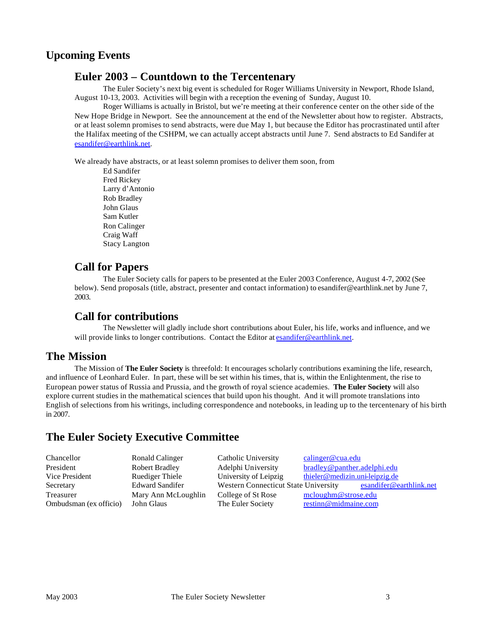# **Upcoming Events**

## **Euler 2003 – Countdown to the Tercentenary**

The Euler Society's next big event is scheduled for Roger Williams University in Newport, Rhode Island, August 10-13, 2003. Activities will begin with a reception the evening of Sunday, August 10.

Roger Williams is actually in Bristol, but we're meeting at their conference center on the other side of the New Hope Bridge in Newport. See the announcement at the end of the Newsletter about how to register. Abstracts, or at least solemn promises to send abstracts, were due May 1, but because the Editor has procrastinated until after the Halifax meeting of the CSHPM, we can actually accept abstracts until June 7. Send abstracts to Ed Sandifer at esandifer@earthlink.net.

We already have abstracts, or at least solemn promises to deliver them soon, from

Ed Sandifer Fred Rickey Larry d'Antonio Rob Bradley John Glaus Sam Kutler Ron Calinger Craig Waff Stacy Langton

# **Call for Papers**

The Euler Society calls for papers to be presented at the Euler 2003 Conference, August 4-7, 2002 (See below). Send proposals (title, abstract, presenter and contact information) to esandifer@earthlink.net by June 7, 2003.

#### **Call for contributions**

The Newsletter will gladly include short contributions about Euler, his life, works and influence, and we will provide links to longer contributions. Contact the Editor at esandifer@earthlink.net.

## **The Mission**

The Mission of **The Euler Society** is threefold: It encourages scholarly contributions examining the life, research, and influence of Leonhard Euler. In part, these will be set within his times, that is, within the Enlightenment, the rise to European power status of Russia and Prussia, and the growth of royal science academies. **The Euler Society** will also explore current studies in the mathematical sciences that build upon his thought. And it will promote translations into English of selections from his writings, including correspondence and notebooks, in leading up to the tercentenary of his birth in 2007.

# **The Euler Society Executive Committee**

| Chancellor             | Ronald Calinger        | Catholic University                  | calinger@cua.edu               |
|------------------------|------------------------|--------------------------------------|--------------------------------|
| President              | <b>Robert Bradley</b>  | Adelphi University                   | bradley@panther.adelphi.edu    |
| Vice President         | <b>Ruediger Thiele</b> | University of Leipzig                | thieler@medizin.uni-leipzig.de |
| Secretary              | <b>Edward Sandifer</b> | Western Connecticut State University | esandifer@earthlink.net        |
| Treasurer              | Mary Ann McLoughlin    | College of St Rose                   | mcloughm@strose.edu            |
| Ombudsman (ex officio) | John Glaus             | The Euler Society                    | restinn@midmaine.com           |